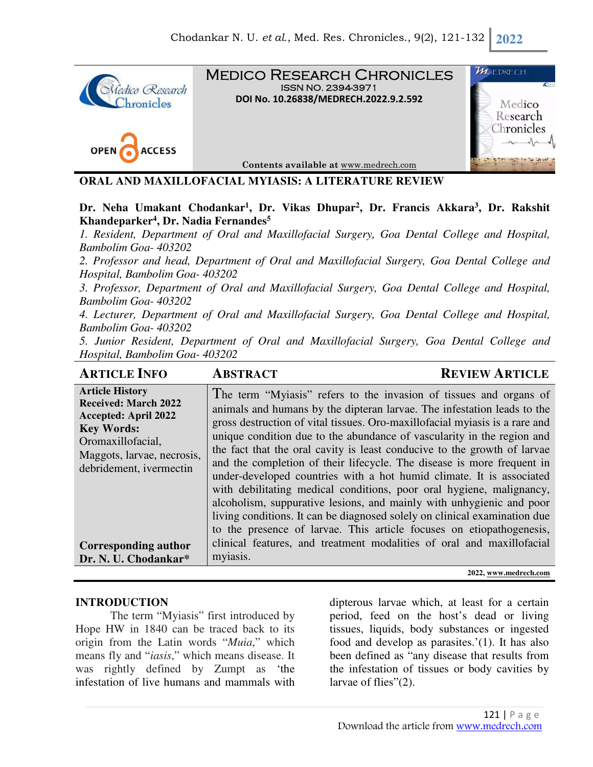

Medico Research Chronicles ISSN NO. 2394-3971 **DOI No. 10.26838/MEDRECH.2022.9.2.592**





**Contents available at** www.medrech.com

#### **ORAL AND MAXILLOFACIAL MYIASIS: A LITERATURE REVIEW**

**Dr. Neha Umakant Chodankar<sup>1</sup> , Dr. Vikas Dhupar<sup>2</sup> , Dr. Francis Akkara<sup>3</sup> , Dr. Rakshit Khandeparker<sup>4</sup> , Dr. Nadia Fernandes<sup>5</sup>**

*1. Resident, Department of Oral and Maxillofacial Surgery, Goa Dental College and Hospital, Bambolim Goa- 403202* 

*2. Professor and head, Department of Oral and Maxillofacial Surgery, Goa Dental College and Hospital, Bambolim Goa- 403202* 

*3. Professor, Department of Oral and Maxillofacial Surgery, Goa Dental College and Hospital, Bambolim Goa- 403202* 

*4. Lecturer, Department of Oral and Maxillofacial Surgery, Goa Dental College and Hospital, Bambolim Goa- 403202* 

*5. Junior Resident, Department of Oral and Maxillofacial Surgery, Goa Dental College and Hospital, Bambolim Goa- 403202*

| <b>ARTICLE INFO</b>                                                                                                                                                                                                                            | <b>ABSTRACT</b>                                                                                                                                                                                                                                                                                                                                                                                                                                                                                                                                                                                                                                                                                                                                                                                                                                                                                                                | <b>REVIEW ARTICLE</b> |
|------------------------------------------------------------------------------------------------------------------------------------------------------------------------------------------------------------------------------------------------|--------------------------------------------------------------------------------------------------------------------------------------------------------------------------------------------------------------------------------------------------------------------------------------------------------------------------------------------------------------------------------------------------------------------------------------------------------------------------------------------------------------------------------------------------------------------------------------------------------------------------------------------------------------------------------------------------------------------------------------------------------------------------------------------------------------------------------------------------------------------------------------------------------------------------------|-----------------------|
| <b>Article History</b><br><b>Received: March 2022</b><br><b>Accepted: April 2022</b><br><b>Key Words:</b><br>Oromaxillofacial,<br>Maggots, larvae, necrosis,<br>debridement, ivermectin<br><b>Corresponding author</b><br>Dr. N. U. Chodankar* | The term "Myiasis" refers to the invasion of tissues and organs of<br>animals and humans by the dipteran larvae. The infestation leads to the<br>gross destruction of vital tissues. Oro-maxillofacial myiasis is a rare and<br>unique condition due to the abundance of vascularity in the region and<br>the fact that the oral cavity is least conducive to the growth of larvae<br>and the completion of their lifecycle. The disease is more frequent in<br>under-developed countries with a hot humid climate. It is associated<br>with debilitating medical conditions, poor oral hygiene, malignancy,<br>alcoholism, suppurative lesions, and mainly with unhygienic and poor<br>living conditions. It can be diagnosed solely on clinical examination due<br>to the presence of larvae. This article focuses on etiopathogenesis,<br>clinical features, and treatment modalities of oral and maxillofacial<br>myiasis. |                       |
|                                                                                                                                                                                                                                                |                                                                                                                                                                                                                                                                                                                                                                                                                                                                                                                                                                                                                                                                                                                                                                                                                                                                                                                                | 2022, www.medrech.com |

#### **INTRODUCTION**

The term "Myiasis" first introduced by Hope HW in 1840 can be traced back to its origin from the Latin words "*Muia*," which means fly and "*iasis*," which means disease. It was rightly defined by Zumpt as 'the infestation of live humans and mammals with

dipterous larvae which, at least for a certain period, feed on the host's dead or living tissues, liquids, body substances or ingested food and develop as parasites.'(1). It has also been defined as "any disease that results from the infestation of tissues or body cavities by larvae of flies"(2).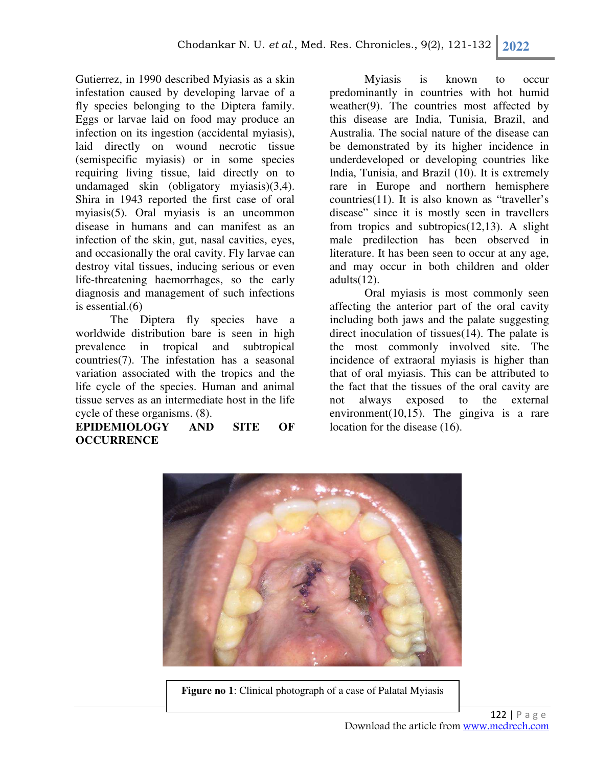Gutierrez, in 1990 described Myiasis as a skin infestation caused by developing larvae of a fly species belonging to the Diptera family. Eggs or larvae laid on food may produce an infection on its ingestion (accidental myiasis), laid directly on wound necrotic tissue (semispecific myiasis) or in some species requiring living tissue, laid directly on to undamaged skin (obligatory myiasis)(3,4). Shira in 1943 reported the first case of oral myiasis(5). Oral myiasis is an uncommon disease in humans and can manifest as an infection of the skin, gut, nasal cavities, eyes, and occasionally the oral cavity. Fly larvae can destroy vital tissues, inducing serious or even life-threatening haemorrhages, so the early diagnosis and management of such infections is essential.(6)

The Diptera fly species have a worldwide distribution bare is seen in high prevalence in tropical and subtropical countries(7). The infestation has a seasonal variation associated with the tropics and the life cycle of the species. Human and animal tissue serves as an intermediate host in the life cycle of these organisms. (8).

**EPIDEMIOLOGY AND SITE OF OCCURRENCE** 

Myiasis is known to occur predominantly in countries with hot humid weather(9). The countries most affected by this disease are India, Tunisia, Brazil, and Australia. The social nature of the disease can be demonstrated by its higher incidence in underdeveloped or developing countries like India, Tunisia, and Brazil (10). It is extremely rare in Europe and northern hemisphere countries(11). It is also known as "traveller's disease" since it is mostly seen in travellers from tropics and subtropics(12,13). A slight male predilection has been observed in literature. It has been seen to occur at any age, and may occur in both children and older  $adults(12)$ .

Oral myiasis is most commonly seen affecting the anterior part of the oral cavity including both jaws and the palate suggesting direct inoculation of tissues(14). The palate is the most commonly involved site. The incidence of extraoral myiasis is higher than that of oral myiasis. This can be attributed to the fact that the tissues of the oral cavity are not always exposed to the external environment(10,15). The gingiva is a rare location for the disease (16).



**Figure no 1**: Clinical photograph of a case of Palatal Myiasis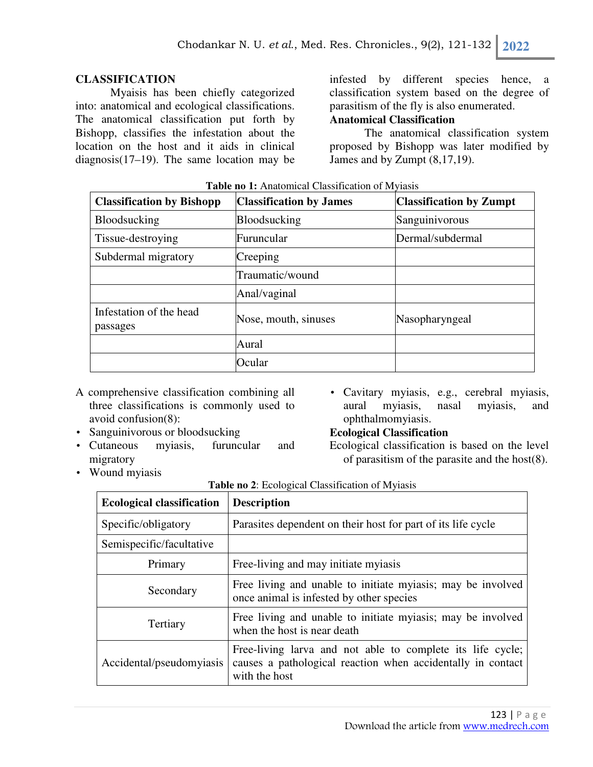#### **CLASSIFICATION**

Myaisis has been chiefly categorized into: anatomical and ecological classifications. The anatomical classification put forth by Bishopp, classifies the infestation about the location on the host and it aids in clinical diagnosis(17–19). The same location may be

infested by different species hence, a classification system based on the degree of parasitism of the fly is also enumerated.

# **Anatomical Classification**

The anatomical classification system proposed by Bishopp was later modified by James and by Zumpt (8,17,19).

| <b>Classification by Bishopp</b>    | <b>Classification by James</b> | <b>Classification by Zumpt</b> |
|-------------------------------------|--------------------------------|--------------------------------|
| <b>Bloodsucking</b>                 | <b>Bloodsucking</b>            | Sanguinivorous                 |
| Tissue-destroying                   | Furuncular                     | Dermal/subdermal               |
| Subdermal migratory                 | Creeping                       |                                |
|                                     | Traumatic/wound                |                                |
|                                     | Anal/vaginal                   |                                |
| Infestation of the head<br>passages | Nose, mouth, sinuses           | Nasopharyngeal                 |
|                                     | Aural                          |                                |
|                                     | Ocular                         |                                |

**Table no 1:** Anatomical Classification of Myiasis

- A comprehensive classification combining all three classifications is commonly used to avoid confusion(8):
- Sanguinivorous or bloodsucking
- Cutaneous myiasis, furuncular and migratory
- Cavitary myiasis, e.g., cerebral myiasis, aural myiasis, nasal myiasis, and ophthalmomyiasis.

#### **Ecological Classification**

Ecological classification is based on the level of parasitism of the parasite and the host(8).

• Wound myiasis

|  |  |  |  |  |  |  |  | Table no 2: Ecological Classification of Myiasis |
|--|--|--|--|--|--|--|--|--------------------------------------------------|
|--|--|--|--|--|--|--|--|--------------------------------------------------|

| <b>Ecological classification</b> | <b>Description</b>                                                                                                                         |
|----------------------------------|--------------------------------------------------------------------------------------------------------------------------------------------|
| Specific/obligatory              | Parasites dependent on their host for part of its life cycle                                                                               |
| Semispecific/facultative         |                                                                                                                                            |
| Primary                          | Free-living and may initiate myiasis                                                                                                       |
| Secondary                        | Free living and unable to initiate myiasis; may be involved<br>once animal is infested by other species                                    |
| Tertiary                         | Free living and unable to initiate myiasis; may be involved<br>when the host is near death                                                 |
| Accidental/pseudomyiasis         | Free-living larva and not able to complete its life cycle;<br>causes a pathological reaction when accidentally in contact<br>with the host |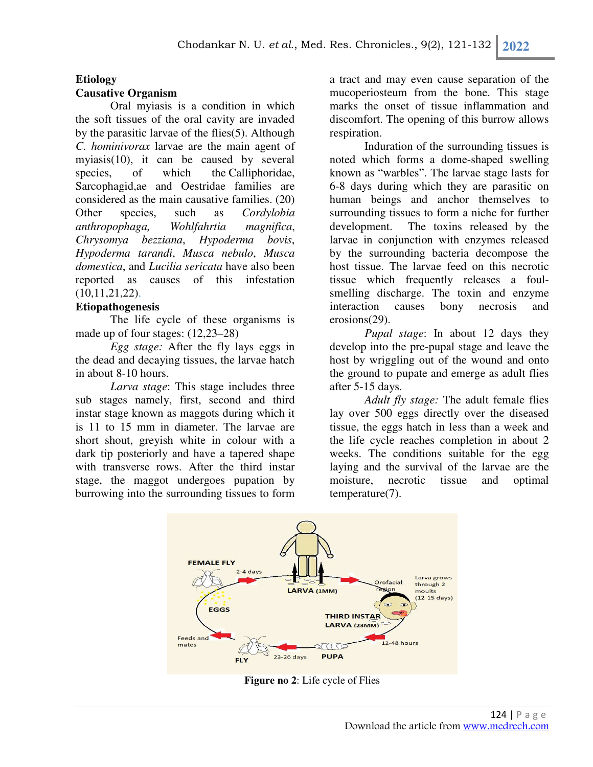# **Etiology**

## **Causative Organism**

Oral myiasis is a condition in which the soft tissues of the oral cavity are invaded by the parasitic larvae of the flies(5). Although *C. hominivorax* larvae are the main agent of myiasis(10), it can be caused by several species, of which the Calliphoridae, Sarcophagid,ae and Oestridae families are considered as the main causative families. (20) Other species, such as *Cordylobia anthropophaga, Wohlfahrtia magnifica*, *Chrysomya bezziana*, *Hypoderma bovis*, *Hypoderma tarandi*, *Musca nebulo*, *Musca domestica*, and *Lucilia sericata* have also been reported as causes of this infestation (10,11,21,22).

## **Etiopathogenesis**

The life cycle of these organisms is made up of four stages: (12,23–28)

*Egg stage:* After the fly lays eggs in the dead and decaying tissues, the larvae hatch in about 8-10 hours.

*Larva stage*: This stage includes three sub stages namely, first, second and third instar stage known as maggots during which it is 11 to 15 mm in diameter. The larvae are short shout, greyish white in colour with a dark tip posteriorly and have a tapered shape with transverse rows. After the third instar stage, the maggot undergoes pupation by burrowing into the surrounding tissues to form a tract and may even cause separation of the mucoperiosteum from the bone. This stage marks the onset of tissue inflammation and discomfort. The opening of this burrow allows respiration.

Induration of the surrounding tissues is noted which forms a dome-shaped swelling known as "warbles". The larvae stage lasts for 6-8 days during which they are parasitic on human beings and anchor themselves to surrounding tissues to form a niche for further development. The toxins released by the larvae in conjunction with enzymes released by the surrounding bacteria decompose the host tissue. The larvae feed on this necrotic tissue which frequently releases a foulsmelling discharge. The toxin and enzyme interaction causes bony necrosis and erosions(29).

*Pupal stage*: In about 12 days they develop into the pre-pupal stage and leave the host by wriggling out of the wound and onto the ground to pupate and emerge as adult flies after 5-15 days.

*Adult fly stage:* The adult female flies lay over 500 eggs directly over the diseased tissue, the eggs hatch in less than a week and the life cycle reaches completion in about 2 weeks. The conditions suitable for the egg laying and the survival of the larvae are the moisture, necrotic tissue and optimal temperature(7).



**Figure no 2**: Life cycle of Flies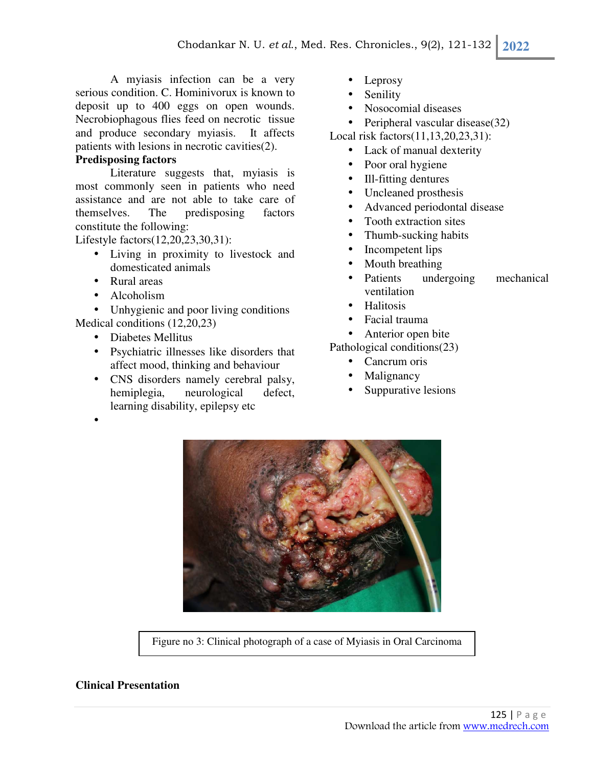A myiasis infection can be a very serious condition. C. Hominivorux is known to deposit up to 400 eggs on open wounds. Necrobiophagous flies feed on necrotic tissue and produce secondary myiasis. It affects patients with lesions in necrotic cavities(2).

## **Predisposing factors**

Literature suggests that, myiasis is most commonly seen in patients who need assistance and are not able to take care of themselves. The predisposing factors constitute the following:

Lifestyle factors(12,20,23,30,31):

- Living in proximity to livestock and domesticated animals
- Rural areas
- Alcoholism

•

• Unhygienic and poor living conditions Medical conditions (12,20,23)

- Diabetes Mellitus
- Psychiatric illnesses like disorders that affect mood, thinking and behaviour
- CNS disorders namely cerebral palsy, hemiplegia, neurological defect, learning disability, epilepsy etc
- Leprosy
- **Senility**
- Nosocomial diseases

• Peripheral vascular disease(32)

Local risk factors(11,13,20,23,31):

- Lack of manual dexterity
- Poor oral hygiene
- Ill-fitting dentures
- Uncleaned prosthesis
- Advanced periodontal disease
- Tooth extraction sites
- Thumb-sucking habits
- Incompetent lips
- Mouth breathing
- Patients undergoing mechanical ventilation
- **Halitosis**
- Facial trauma
- Anterior open bite

Pathological conditions(23)

- Cancrum oris
- **Malignancy**
- Suppurative lesions



Figure no 3: Clinical photograph of a case of Myiasis in Oral Carcinoma

#### **Clinical Presentation**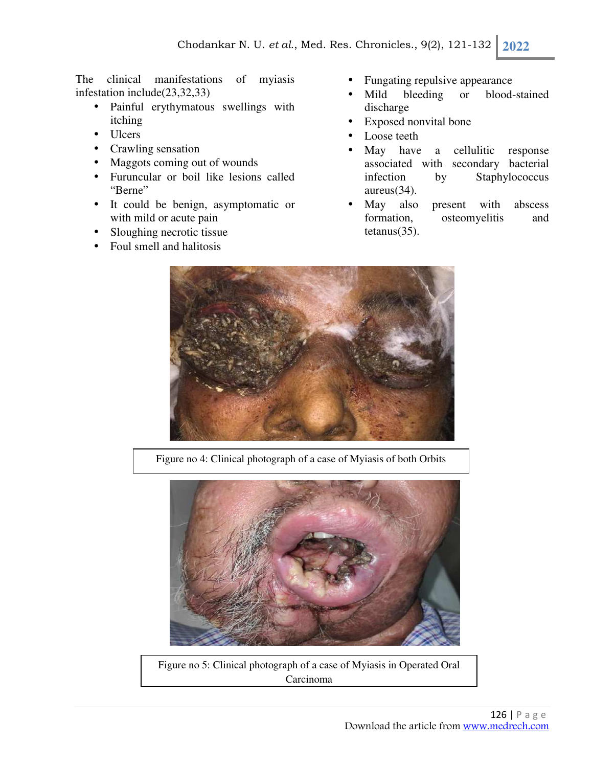The clinical manifestations of myiasis infestation include(23,32,33)

- Painful erythymatous swellings with itching
- Ulcers
- Crawling sensation
- Maggots coming out of wounds
- Furuncular or boil like lesions called "Berne"
- It could be benign, asymptomatic or with mild or acute pain
- Sloughing necrotic tissue
- Foul smell and halitosis
- Fungating repulsive appearance
- Mild bleeding or blood-stained discharge
- Exposed nonvital bone
- Loose teeth
- May have a cellulitic response associated with secondary bacterial infection by Staphylococcus aureus(34).
- May also present with abscess formation, osteomyelitis and tetanus(35).



Figure no 4: Clinical photograph of a case of Myiasis of both Orbits



Figure no 5: Clinical photograph of a case of Myiasis in Operated Oral Carcinoma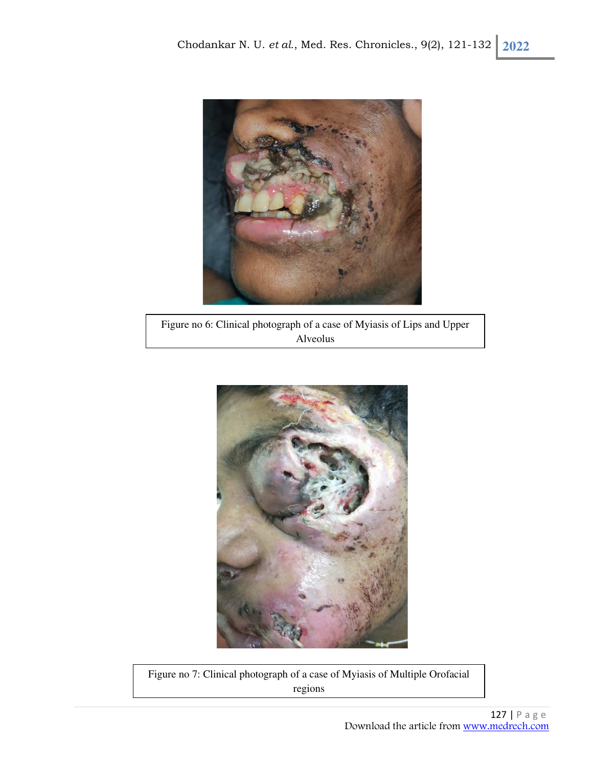

Figure no 6: Clinical photograph of a case of Myiasis of Lips and Upper Alveolus



Figure no 7: Clinical photograph of a case of Myiasis of Multiple Orofacial regions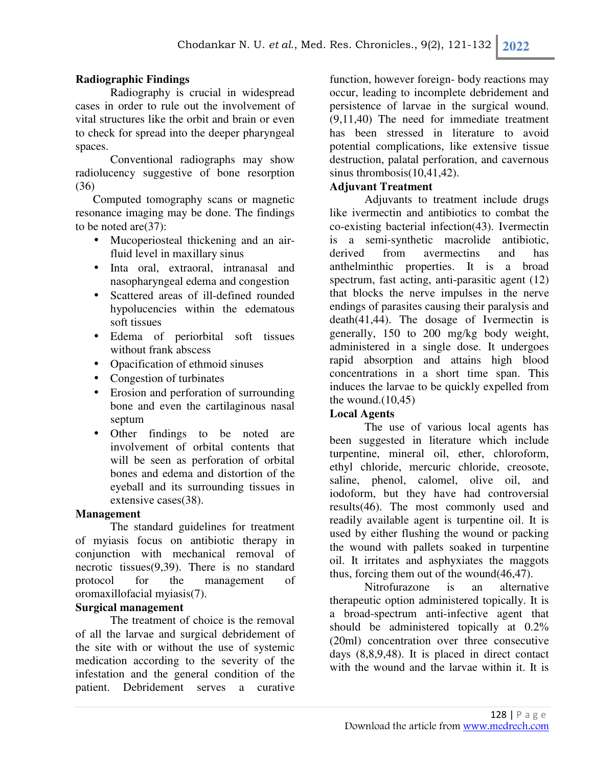### **Radiographic Findings**

Radiography is crucial in widespread cases in order to rule out the involvement of vital structures like the orbit and brain or even to check for spread into the deeper pharyngeal spaces.

Conventional radiographs may show radiolucency suggestive of bone resorption (36)

Computed tomography scans or magnetic resonance imaging may be done. The findings to be noted are(37):

- Mucoperiosteal thickening and an airfluid level in maxillary sinus
- Inta oral, extraoral, intranasal and nasopharyngeal edema and congestion
- Scattered areas of ill-defined rounded hypolucencies within the edematous soft tissues
- Edema of periorbital soft tissues without frank abscess
- Opacification of ethmoid sinuses
- Congestion of turbinates
- Erosion and perforation of surrounding bone and even the cartilaginous nasal septum
- Other findings to be noted are involvement of orbital contents that will be seen as perforation of orbital bones and edema and distortion of the eyeball and its surrounding tissues in extensive cases(38).

#### **Management**

The standard guidelines for treatment of myiasis focus on antibiotic therapy in conjunction with mechanical removal of necrotic tissues(9,39). There is no standard protocol for the management of oromaxillofacial myiasis(7).

#### **Surgical management**

The treatment of choice is the removal of all the larvae and surgical debridement of the site with or without the use of systemic medication according to the severity of the infestation and the general condition of the patient. Debridement serves a curative

function, however foreign- body reactions may occur, leading to incomplete debridement and persistence of larvae in the surgical wound. (9,11,40) The need for immediate treatment has been stressed in literature to avoid potential complications, like extensive tissue destruction, palatal perforation, and cavernous sinus thrombosis(10,41,42).

#### **Adjuvant Treatment**

Adjuvants to treatment include drugs like ivermectin and antibiotics to combat the co-existing bacterial infection(43). Ivermectin is a semi-synthetic macrolide antibiotic, derived from avermectins and has anthelminthic properties. It is a broad spectrum, fast acting, anti-parasitic agent (12) that blocks the nerve impulses in the nerve endings of parasites causing their paralysis and death(41,44). The dosage of Ivermectin is generally, 150 to 200 mg/kg body weight, administered in a single dose. It undergoes rapid absorption and attains high blood concentrations in a short time span. This induces the larvae to be quickly expelled from the wound. $(10, 45)$ 

## **Local Agents**

The use of various local agents has been suggested in literature which include turpentine, mineral oil, ether, chloroform, ethyl chloride, mercuric chloride, creosote, saline, phenol, calomel, olive oil, and iodoform, but they have had controversial results(46). The most commonly used and readily available agent is turpentine oil. It is used by either flushing the wound or packing the wound with pallets soaked in turpentine oil. It irritates and asphyxiates the maggots thus, forcing them out of the wound(46,47).

Nitrofurazone is an alternative therapeutic option administered topically. It is a broad-spectrum anti-infective agent that should be administered topically at 0.2% (20ml) concentration over three consecutive days (8,8,9,48). It is placed in direct contact with the wound and the larvae within it. It is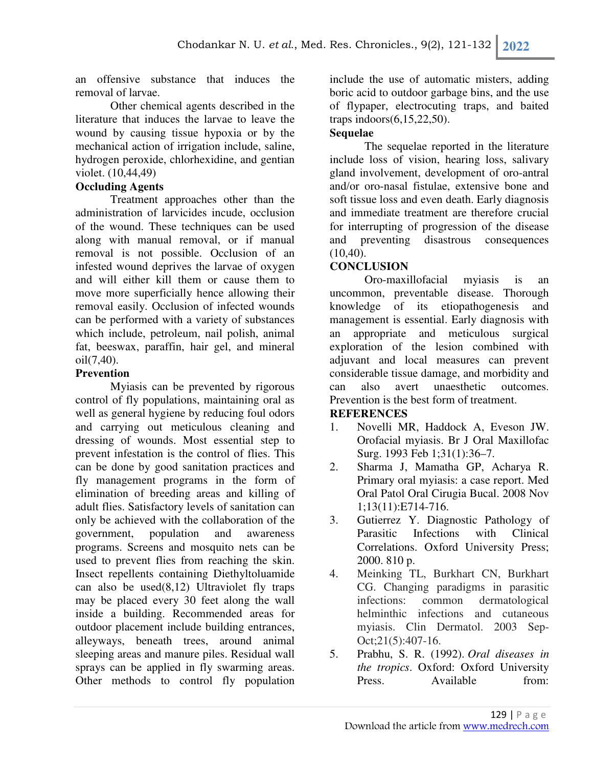an offensive substance that induces the removal of larvae.

Other chemical agents described in the literature that induces the larvae to leave the wound by causing tissue hypoxia or by the mechanical action of irrigation include, saline, hydrogen peroxide, chlorhexidine, and gentian violet. (10,44,49)

## **Occluding Agents**

Treatment approaches other than the administration of larvicides incude, occlusion of the wound. These techniques can be used along with manual removal, or if manual removal is not possible. Occlusion of an infested wound deprives the larvae of oxygen and will either kill them or cause them to move more superficially hence allowing their removal easily. Occlusion of infected wounds can be performed with a variety of substances which include, petroleum, nail polish, animal fat, beeswax, paraffin, hair gel, and mineral oil(7,40).

## **Prevention**

Myiasis can be prevented by rigorous control of fly populations, maintaining oral as well as general hygiene by reducing foul odors and carrying out meticulous cleaning and dressing of wounds. Most essential step to prevent infestation is the control of flies. This can be done by good sanitation practices and fly management programs in the form of elimination of breeding areas and killing of adult flies. Satisfactory levels of sanitation can only be achieved with the collaboration of the government, population and awareness programs. Screens and mosquito nets can be used to prevent flies from reaching the skin. Insect repellents containing Diethyltoluamide can also be used $(8,12)$  Ultraviolet fly traps may be placed every 30 feet along the wall inside a building. Recommended areas for outdoor placement include building entrances, alleyways, beneath trees, around animal sleeping areas and manure piles. Residual wall sprays can be applied in fly swarming areas. Other methods to control fly population

include the use of automatic misters, adding boric acid to outdoor garbage bins, and the use of flypaper, electrocuting traps, and baited traps indoors(6,15,22,50).

## **Sequelae**

The sequelae reported in the literature include loss of vision, hearing loss, salivary gland involvement, development of oro-antral and/or oro-nasal fistulae, extensive bone and soft tissue loss and even death. Early diagnosis and immediate treatment are therefore crucial for interrupting of progression of the disease and preventing disastrous consequences  $(10,40)$ .

# **CONCLUSION**

Oro-maxillofacial myiasis is an uncommon, preventable disease. Thorough knowledge of its etiopathogenesis and management is essential. Early diagnosis with an appropriate and meticulous surgical exploration of the lesion combined with adjuvant and local measures can prevent considerable tissue damage, and morbidity and can also avert unaesthetic outcomes. Prevention is the best form of treatment.

# **REFERENCES**

- 1. Novelli MR, Haddock A, Eveson JW. Orofacial myiasis. Br J Oral Maxillofac Surg. 1993 Feb 1;31(1):36–7.
- 2. Sharma J, Mamatha GP, Acharya R. Primary oral myiasis: a case report. Med Oral Patol Oral Cirugia Bucal. 2008 Nov 1;13(11):E714-716.
- 3. Gutierrez Y. Diagnostic Pathology of Parasitic Infections with Clinical Correlations. Oxford University Press; 2000. 810 p.
- 4. Meinking TL, Burkhart CN, Burkhart CG. Changing paradigms in parasitic infections: common dermatological helminthic infections and cutaneous myiasis. Clin Dermatol. 2003 Sep-Oct;21(5):407-16.
- 5. Prabhu, S. R. (1992). *Oral diseases in the tropics*. Oxford: Oxford University Press. Available from: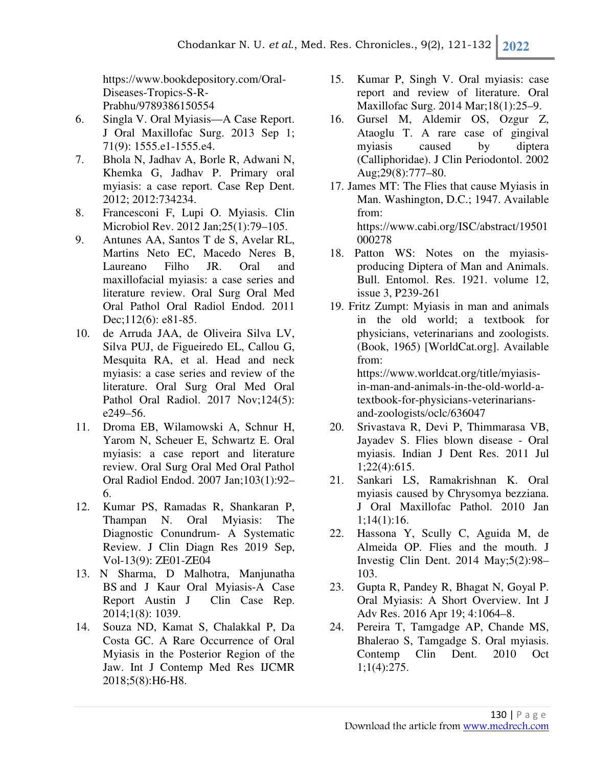https://www.bookdepository.com/Oral-Diseases-Tropics-S-R-Prabhu/9789386150554

- 6. Singla V. Oral Myiasis—A Case Report. J Oral Maxillofac Surg. 2013 Sep 1; 71(9): 1555.e1-1555.e4.
- 7. Bhola N, Jadhav A, Borle R, Adwani N, Khemka G, Jadhav P. Primary oral myiasis: a case report. Case Rep Dent. 2012; 2012:734234.
- 8. Francesconi F, Lupi O. Myiasis. Clin Microbiol Rev. 2012 Jan;25(1):79–105.
- 9. Antunes AA, Santos T de S, Avelar RL, Martins Neto EC, Macedo Neres B, Laureano Filho JR. Oral and maxillofacial myiasis: a case series and literature review. Oral Surg Oral Med Oral Pathol Oral Radiol Endod. 2011 Dec;112(6): e81-85.
- 10. de Arruda JAA, de Oliveira Silva LV, Silva PUJ, de Figueiredo EL, Callou G, Mesquita RA, et al. Head and neck myiasis: a case series and review of the literature. Oral Surg Oral Med Oral Pathol Oral Radiol. 2017 Nov; 124(5): e249–56.
- 11. Droma EB, Wilamowski A, Schnur H, Yarom N, Scheuer E, Schwartz E. Oral myiasis: a case report and literature review. Oral Surg Oral Med Oral Pathol Oral Radiol Endod. 2007 Jan;103(1):92– 6.
- 12. Kumar PS, Ramadas R, Shankaran P, Thampan N. Oral Myiasis: The Diagnostic Conundrum- A Systematic Review. J Clin Diagn Res 2019 Sep, Vol-13(9): ZE01-ZE04
- 13. N Sharma, D Malhotra, Manjunatha BS and J Kaur Oral Myiasis-A Case Report Austin J Clin Case Rep. 2014;1(8): 1039.
- 14. Souza ND, Kamat S, Chalakkal P, Da Costa GC. A Rare Occurrence of Oral Myiasis in the Posterior Region of the Jaw. Int J Contemp Med Res IJCMR 2018;5(8):H6-H8.
- 15. Kumar P, Singh V. Oral myiasis: case report and review of literature. Oral Maxillofac Surg. 2014 Mar;18(1):25–9.
- 16. Gursel M, Aldemir OS, Ozgur Z, Ataoglu T. A rare case of gingival myiasis caused by diptera (Calliphoridae). J Clin Periodontol. 2002 Aug;29(8):777–80.
- 17. James MT: The Flies that cause Myiasis in Man. Washington, D.C.; 1947. Available from: https://www.cabi.org/ISC/abstract/19501 000278
- 18. Patton WS: Notes on the myiasisproducing Diptera of Man and Animals. Bull. Entomol. Res. 1921. volume 12, issue 3, P239-261
- 19. Fritz Zumpt: Myiasis in man and animals in the old world; a textbook for physicians, veterinarians and zoologists. (Book, 1965) [WorldCat.org]. Available from: https://www.worldcat.org/title/myiasis-

in-man-and-animals-in-the-old-world-atextbook-for-physicians-veterinariansand-zoologists/oclc/636047

- 20. Srivastava R, Devi P, Thimmarasa VB, Jayadev S. Flies blown disease - Oral myiasis. Indian J Dent Res. 2011 Jul 1;22(4):615.
- 21. Sankari LS, Ramakrishnan K. Oral myiasis caused by Chrysomya bezziana. J Oral Maxillofac Pathol. 2010 Jan 1;14(1):16.
- 22. Hassona Y, Scully C, Aguida M, de Almeida OP. Flies and the mouth. J Investig Clin Dent. 2014 May;5(2):98– 103.
- 23. Gupta R, Pandey R, Bhagat N, Goyal P. Oral Myiasis: A Short Overview. Int J Adv Res. 2016 Apr 19; 4:1064–8.
- 24. Pereira T, Tamgadge AP, Chande MS, Bhalerao S, Tamgadge S. Oral myiasis. Contemp Clin Dent. 2010 Oct 1;1(4):275.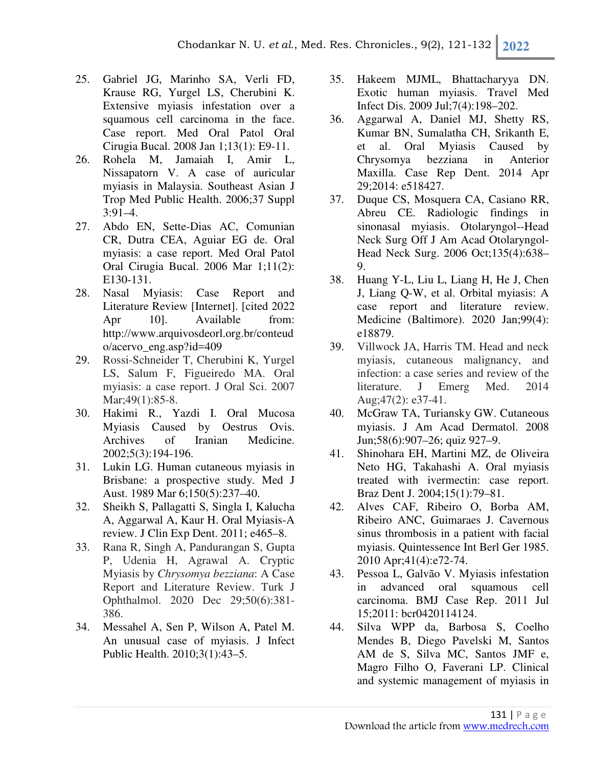- 25. Gabriel JG, Marinho SA, Verli FD, Krause RG, Yurgel LS, Cherubini K. Extensive myiasis infestation over a squamous cell carcinoma in the face. Case report. Med Oral Patol Oral Cirugia Bucal. 2008 Jan 1;13(1): E9-11.
- 26. Rohela M, Jamaiah I, Amir L, Nissapatorn V. A case of auricular myiasis in Malaysia. Southeast Asian J Trop Med Public Health. 2006;37 Suppl 3:91–4.
- 27. Abdo EN, Sette-Dias AC, Comunian CR, Dutra CEA, Aguiar EG de. Oral myiasis: a case report. Med Oral Patol Oral Cirugia Bucal. 2006 Mar 1;11(2): E130-131.
- 28. Nasal Myiasis: Case Report and Literature Review [Internet]. [cited 2022 Apr 10]. Available from: http://www.arquivosdeorl.org.br/conteud o/acervo\_eng.asp?id=409
- 29. Rossi-Schneider T, Cherubini K, Yurgel LS, Salum F, Figueiredo MA. Oral myiasis: a case report. J Oral Sci. 2007 Mar; 49(1): 85-8.
- 30. Hakimi R., Yazdi I. Oral Mucosa Myiasis Caused by Oestrus Ovis. Archives of Iranian Medicine. 2002;5(3):194-196.
- 31. Lukin LG. Human cutaneous myiasis in Brisbane: a prospective study. Med J Aust. 1989 Mar 6;150(5):237–40.
- 32. Sheikh S, Pallagatti S, Singla I, Kalucha A, Aggarwal A, Kaur H. Oral Myiasis-A review. J Clin Exp Dent. 2011; e465–8.
- 33. Rana R, Singh A, Pandurangan S, Gupta P, Udenia H, Agrawal A. Cryptic Myiasis by *Chrysomya bezziana*: A Case Report and Literature Review. Turk J Ophthalmol. 2020 Dec 29;50(6):381- 386.
- 34. Messahel A, Sen P, Wilson A, Patel M. An unusual case of myiasis. J Infect Public Health. 2010;3(1):43–5.
- 35. Hakeem MJML, Bhattacharyya DN. Exotic human myiasis. Travel Med Infect Dis. 2009 Jul;7(4):198–202.
- 36. Aggarwal A, Daniel MJ, Shetty RS, Kumar BN, Sumalatha CH, Srikanth E, et al. Oral Myiasis Caused by Chrysomya bezziana in Anterior Maxilla. Case Rep Dent. 2014 Apr 29;2014: e518427.
- 37. Duque CS, Mosquera CA, Casiano RR, Abreu CE. Radiologic findings in sinonasal myiasis. Otolaryngol--Head Neck Surg Off J Am Acad Otolaryngol-Head Neck Surg. 2006 Oct;135(4):638– 9.
- 38. Huang Y-L, Liu L, Liang H, He J, Chen J, Liang Q-W, et al. Orbital myiasis: A case report and literature review. Medicine (Baltimore). 2020 Jan;99(4): e18879.
- 39. Villwock JA, Harris TM. Head and neck myiasis, cutaneous malignancy, and infection: a case series and review of the literature. J Emerg Med. 2014 Aug;47(2): e37-41.
- 40. McGraw TA, Turiansky GW. Cutaneous myiasis. J Am Acad Dermatol. 2008 Jun;58(6):907–26; quiz 927–9.
- 41. Shinohara EH, Martini MZ, de Oliveira Neto HG, Takahashi A. Oral myiasis treated with ivermectin: case report. Braz Dent J. 2004;15(1):79–81.
- 42. Alves CAF, Ribeiro O, Borba AM, Ribeiro ANC, Guimaraes J. Cavernous sinus thrombosis in a patient with facial myiasis. Quintessence Int Berl Ger 1985. 2010 Apr;41(4):e72-74.
- 43. Pessoa L, Galvão V. Myiasis infestation in advanced oral squamous cell carcinoma. BMJ Case Rep. 2011 Jul 15;2011: bcr0420114124.
- 44. Silva WPP da, Barbosa S, Coelho Mendes B, Diego Pavelski M, Santos AM de S, Silva MC, Santos JMF e, Magro Filho O, Faverani LP. Clinical and systemic management of myiasis in